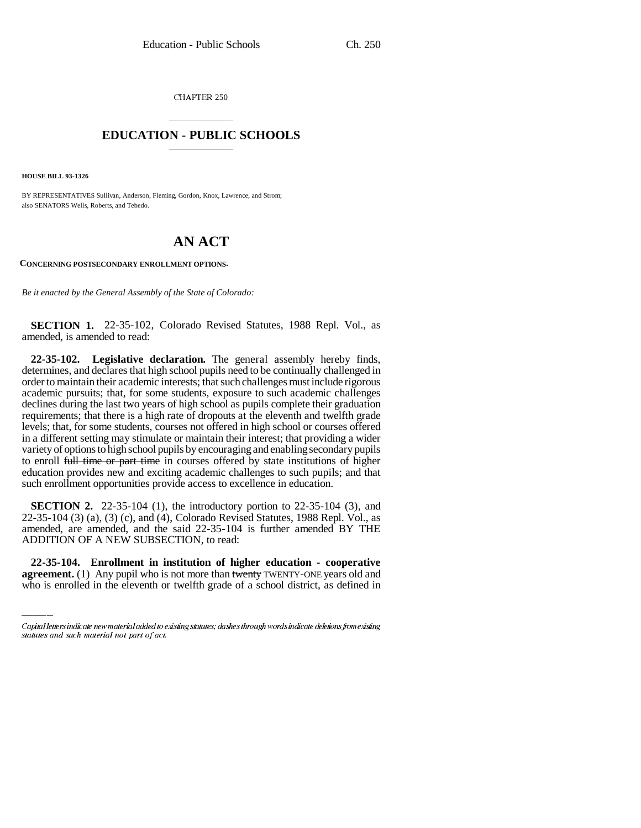CHAPTER 250

## \_\_\_\_\_\_\_\_\_\_\_\_\_\_\_ **EDUCATION - PUBLIC SCHOOLS** \_\_\_\_\_\_\_\_\_\_\_\_\_\_\_

**HOUSE BILL 93-1326**

BY REPRESENTATIVES Sullivan, Anderson, Fleming, Gordon, Knox, Lawrence, and Strom; also SENATORS Wells, Roberts, and Tebedo.

## **AN ACT**

**CONCERNING POSTSECONDARY ENROLLMENT OPTIONS.**

*Be it enacted by the General Assembly of the State of Colorado:*

**SECTION 1.** 22-35-102, Colorado Revised Statutes, 1988 Repl. Vol., as amended, is amended to read:

**22-35-102. Legislative declaration.** The general assembly hereby finds, determines, and declares that high school pupils need to be continually challenged in order to maintain their academic interests; that such challenges must include rigorous academic pursuits; that, for some students, exposure to such academic challenges declines during the last two years of high school as pupils complete their graduation requirements; that there is a high rate of dropouts at the eleventh and twelfth grade levels; that, for some students, courses not offered in high school or courses offered in a different setting may stimulate or maintain their interest; that providing a wider variety of options to high school pupils by encouraging and enabling secondary pupils to enroll full time or part time in courses offered by state institutions of higher education provides new and exciting academic challenges to such pupils; and that such enrollment opportunities provide access to excellence in education.

ADDITION OF A NEW SUBSECTION, to read: **SECTION 2.** 22-35-104 (1), the introductory portion to 22-35-104 (3), and 22-35-104 (3) (a), (3) (c), and (4), Colorado Revised Statutes, 1988 Repl. Vol., as amended, are amended, and the said 22-35-104 is further amended BY THE

**22-35-104. Enrollment in institution of higher education - cooperative agreement.** (1) Any pupil who is not more than twenty TWENTY-ONE years old and who is enrolled in the eleventh or twelfth grade of a school district, as defined in

Capital letters indicate new material added to existing statutes; dashes through words indicate deletions from existing statutes and such material not part of act.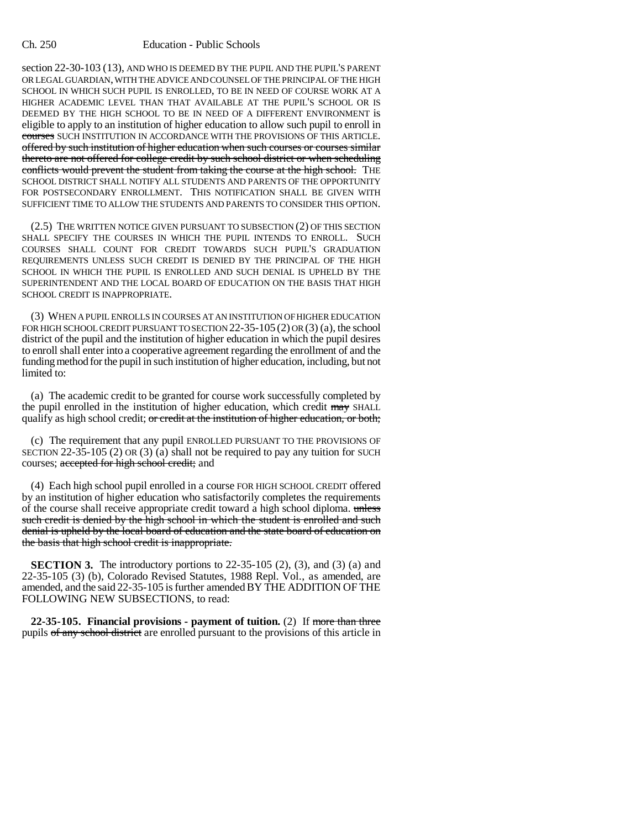## Ch. 250 Education - Public Schools

section 22-30-103 (13), AND WHO IS DEEMED BY THE PUPIL AND THE PUPIL'S PARENT OR LEGAL GUARDIAN, WITH THE ADVICE AND COUNSEL OF THE PRINCIPAL OF THE HIGH SCHOOL IN WHICH SUCH PUPIL IS ENROLLED, TO BE IN NEED OF COURSE WORK AT A HIGHER ACADEMIC LEVEL THAN THAT AVAILABLE AT THE PUPIL'S SCHOOL OR IS DEEMED BY THE HIGH SCHOOL TO BE IN NEED OF A DIFFERENT ENVIRONMENT is eligible to apply to an institution of higher education to allow such pupil to enroll in courses SUCH INSTITUTION IN ACCORDANCE WITH THE PROVISIONS OF THIS ARTICLE. offered by such institution of higher education when such courses or courses similar thereto are not offered for college credit by such school district or when scheduling conflicts would prevent the student from taking the course at the high school. THE SCHOOL DISTRICT SHALL NOTIFY ALL STUDENTS AND PARENTS OF THE OPPORTUNITY FOR POSTSECONDARY ENROLLMENT. THIS NOTIFICATION SHALL BE GIVEN WITH SUFFICIENT TIME TO ALLOW THE STUDENTS AND PARENTS TO CONSIDER THIS OPTION.

(2.5) THE WRITTEN NOTICE GIVEN PURSUANT TO SUBSECTION (2) OF THIS SECTION SHALL SPECIFY THE COURSES IN WHICH THE PUPIL INTENDS TO ENROLL. SUCH COURSES SHALL COUNT FOR CREDIT TOWARDS SUCH PUPIL'S GRADUATION REQUIREMENTS UNLESS SUCH CREDIT IS DENIED BY THE PRINCIPAL OF THE HIGH SCHOOL IN WHICH THE PUPIL IS ENROLLED AND SUCH DENIAL IS UPHELD BY THE SUPERINTENDENT AND THE LOCAL BOARD OF EDUCATION ON THE BASIS THAT HIGH SCHOOL CREDIT IS INAPPROPRIATE.

(3) WHEN A PUPIL ENROLLS IN COURSES AT AN INSTITUTION OF HIGHER EDUCATION FOR HIGH SCHOOL CREDIT PURSUANT TO SECTION 22-35-105 (2) OR (3) (a), the school district of the pupil and the institution of higher education in which the pupil desires to enroll shall enter into a cooperative agreement regarding the enrollment of and the funding method for the pupil in such institution of higher education, including, but not limited to:

(a) The academic credit to be granted for course work successfully completed by the pupil enrolled in the institution of higher education, which credit may SHALL qualify as high school credit; or credit at the institution of higher education, or both;

(c) The requirement that any pupil ENROLLED PURSUANT TO THE PROVISIONS OF SECTION 22-35-105 (2) OR (3) (a) shall not be required to pay any tuition for SUCH courses; accepted for high school credit; and

(4) Each high school pupil enrolled in a course FOR HIGH SCHOOL CREDIT offered by an institution of higher education who satisfactorily completes the requirements of the course shall receive appropriate credit toward a high school diploma. unless such credit is denied by the high school in which the student is enrolled and such denial is upheld by the local board of education and the state board of education on the basis that high school credit is inappropriate.

**SECTION 3.** The introductory portions to  $22-35-105$  (2), (3), and (3) (a) and 22-35-105 (3) (b), Colorado Revised Statutes, 1988 Repl. Vol., as amended, are amended, and the said 22-35-105 is further amended BY THE ADDITION OF THE FOLLOWING NEW SUBSECTIONS, to read:

**22-35-105. Financial provisions - payment of tuition.** (2) If more than three pupils of any school district are enrolled pursuant to the provisions of this article in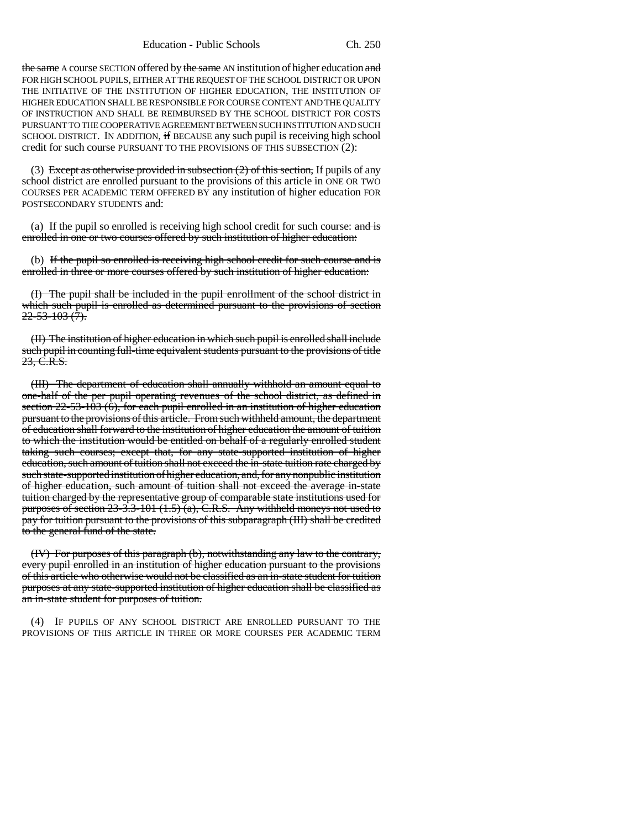the same A course SECTION offered by the same AN institution of higher education and FOR HIGH SCHOOL PUPILS, EITHER AT THE REQUEST OF THE SCHOOL DISTRICT OR UPON THE INITIATIVE OF THE INSTITUTION OF HIGHER EDUCATION, THE INSTITUTION OF HIGHER EDUCATION SHALL BE RESPONSIBLE FOR COURSE CONTENT AND THE QUALITY OF INSTRUCTION AND SHALL BE REIMBURSED BY THE SCHOOL DISTRICT FOR COSTS PURSUANT TO THE COOPERATIVE AGREEMENT BETWEEN SUCH INSTITUTION AND SUCH SCHOOL DISTRICT. IN ADDITION, if BECAUSE any such pupil is receiving high school credit for such course PURSUANT TO THE PROVISIONS OF THIS SUBSECTION (2):

(3) Except as otherwise provided in subsection  $(2)$  of this section, If pupils of any school district are enrolled pursuant to the provisions of this article in ONE OR TWO COURSES PER ACADEMIC TERM OFFERED BY any institution of higher education FOR POSTSECONDARY STUDENTS and:

(a) If the pupil so enrolled is receiving high school credit for such course:  $\frac{and \pm s}{s}$ enrolled in one or two courses offered by such institution of higher education:

(b) If the pupil so enrolled is receiving high school credit for such course and is enrolled in three or more courses offered by such institution of higher education:

(I) The pupil shall be included in the pupil enrollment of the school district in which such pupil is enrolled as determined pursuant to the provisions of section  $22 - 53 - 103(7)$ .

(II) The institution of higher education in which such pupil is enrolled shall include such pupil in counting full-time equivalent students pursuant to the provisions of title 23, C.R.S.

(III) The department of education shall annually withhold an amount equal to one-half of the per pupil operating revenues of the school district, as defined in section  $22-53-103$  (6), for each pupil enrolled in an institution of higher education pursuant to the provisions of this article. From such withheld amount, the department of education shall forward to the institution of higher education the amount of tuition to which the institution would be entitled on behalf of a regularly enrolled student taking such courses; except that, for any state-supported institution of higher education, such amount of tuition shall not exceed the in-state tuition rate charged by such state-supported institution of higher education, and, for any nonpublic institution of higher education, such amount of tuition shall not exceed the average in-state tuition charged by the representative group of comparable state institutions used for purposes of section  $23-3.3-101$  (1.5) (a), C.R.S. Any withheld moneys not used to pay for tuition pursuant to the provisions of this subparagraph (III) shall be credited to the general fund of the state.

(IV) For purposes of this paragraph (b), notwithstanding any law to the contrary, every pupil enrolled in an institution of higher education pursuant to the provisions of this article who otherwise would not be classified as an in-state student for tuition purposes at any state-supported institution of higher education shall be classified as an in-state student for purposes of tuition.

(4) IF PUPILS OF ANY SCHOOL DISTRICT ARE ENROLLED PURSUANT TO THE PROVISIONS OF THIS ARTICLE IN THREE OR MORE COURSES PER ACADEMIC TERM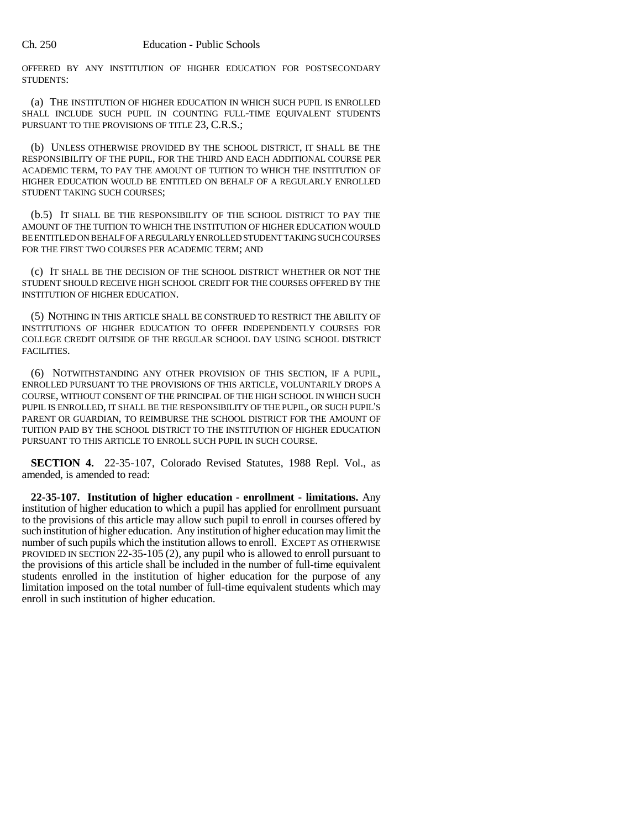OFFERED BY ANY INSTITUTION OF HIGHER EDUCATION FOR POSTSECONDARY STUDENTS:

(a) THE INSTITUTION OF HIGHER EDUCATION IN WHICH SUCH PUPIL IS ENROLLED SHALL INCLUDE SUCH PUPIL IN COUNTING FULL-TIME EQUIVALENT STUDENTS PURSUANT TO THE PROVISIONS OF TITLE 23, C.R.S.;

(b) UNLESS OTHERWISE PROVIDED BY THE SCHOOL DISTRICT, IT SHALL BE THE RESPONSIBILITY OF THE PUPIL, FOR THE THIRD AND EACH ADDITIONAL COURSE PER ACADEMIC TERM, TO PAY THE AMOUNT OF TUITION TO WHICH THE INSTITUTION OF HIGHER EDUCATION WOULD BE ENTITLED ON BEHALF OF A REGULARLY ENROLLED STUDENT TAKING SUCH COURSES;

(b.5) IT SHALL BE THE RESPONSIBILITY OF THE SCHOOL DISTRICT TO PAY THE AMOUNT OF THE TUITION TO WHICH THE INSTITUTION OF HIGHER EDUCATION WOULD BE ENTITLED ON BEHALF OF A REGULARLY ENROLLED STUDENT TAKING SUCH COURSES FOR THE FIRST TWO COURSES PER ACADEMIC TERM; AND

(c) IT SHALL BE THE DECISION OF THE SCHOOL DISTRICT WHETHER OR NOT THE STUDENT SHOULD RECEIVE HIGH SCHOOL CREDIT FOR THE COURSES OFFERED BY THE INSTITUTION OF HIGHER EDUCATION.

(5) NOTHING IN THIS ARTICLE SHALL BE CONSTRUED TO RESTRICT THE ABILITY OF INSTITUTIONS OF HIGHER EDUCATION TO OFFER INDEPENDENTLY COURSES FOR COLLEGE CREDIT OUTSIDE OF THE REGULAR SCHOOL DAY USING SCHOOL DISTRICT FACILITIES.

(6) NOTWITHSTANDING ANY OTHER PROVISION OF THIS SECTION, IF A PUPIL, ENROLLED PURSUANT TO THE PROVISIONS OF THIS ARTICLE, VOLUNTARILY DROPS A COURSE, WITHOUT CONSENT OF THE PRINCIPAL OF THE HIGH SCHOOL IN WHICH SUCH PUPIL IS ENROLLED, IT SHALL BE THE RESPONSIBILITY OF THE PUPIL, OR SUCH PUPIL'S PARENT OR GUARDIAN, TO REIMBURSE THE SCHOOL DISTRICT FOR THE AMOUNT OF TUITION PAID BY THE SCHOOL DISTRICT TO THE INSTITUTION OF HIGHER EDUCATION PURSUANT TO THIS ARTICLE TO ENROLL SUCH PUPIL IN SUCH COURSE.

**SECTION 4.** 22-35-107, Colorado Revised Statutes, 1988 Repl. Vol., as amended, is amended to read:

**22-35-107. Institution of higher education - enrollment - limitations.** Any institution of higher education to which a pupil has applied for enrollment pursuant to the provisions of this article may allow such pupil to enroll in courses offered by such institution of higher education. Any institution of higher education may limit the number of such pupils which the institution allows to enroll. EXCEPT AS OTHERWISE PROVIDED IN SECTION 22-35-105 (2), any pupil who is allowed to enroll pursuant to the provisions of this article shall be included in the number of full-time equivalent students enrolled in the institution of higher education for the purpose of any limitation imposed on the total number of full-time equivalent students which may enroll in such institution of higher education.